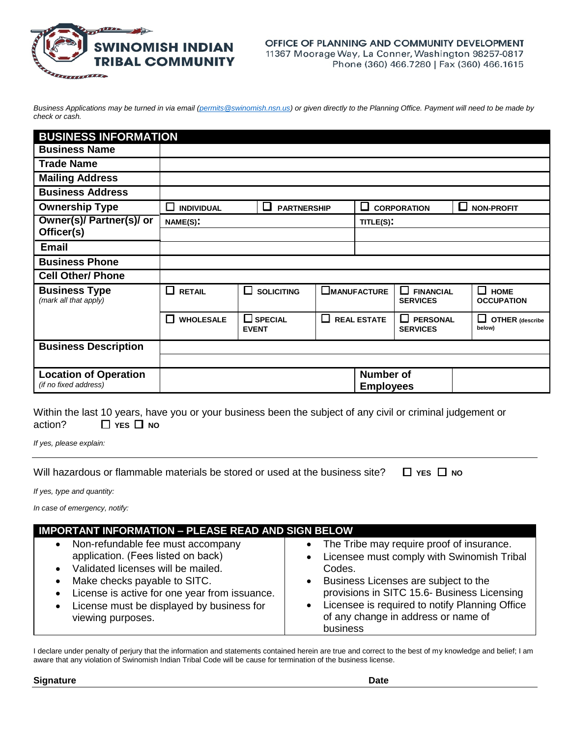

## OFFICE OF PLANNING AND COMMUNITY DEVELOPMENT 11367 Moorage Way, La Conner, Washington 98257-0817 Phone (360) 466.7280 | Fax (360) 466.1615

*Business Applications may be turned in via email [\(permits@swinomish.nsn.us\)](mailto:permits@swinomish.nsn.us) or given directly to the Planning Office. Payment will need to be made by check or cash.* 

| <b>BUSINESS INFORMATION</b>                           |                                                       |  |                         |                    |                                      |                                     |                                            |                                            |  |
|-------------------------------------------------------|-------------------------------------------------------|--|-------------------------|--------------------|--------------------------------------|-------------------------------------|--------------------------------------------|--------------------------------------------|--|
| <b>Business Name</b>                                  |                                                       |  |                         |                    |                                      |                                     |                                            |                                            |  |
| <b>Trade Name</b>                                     |                                                       |  |                         |                    |                                      |                                     |                                            |                                            |  |
| <b>Mailing Address</b>                                |                                                       |  |                         |                    |                                      |                                     |                                            |                                            |  |
| <b>Business Address</b>                               |                                                       |  |                         |                    |                                      |                                     |                                            |                                            |  |
| <b>Ownership Type</b>                                 | <b>INDIVIDUAL</b>                                     |  | <b>PARTNERSHIP</b><br>ш |                    | <b>CORPORATION</b><br>ப              |                                     | l 1                                        | <b>NON-PROFIT</b>                          |  |
| Owner(s)/ Partner(s)/ or                              | NAME(S):                                              |  | TITLE(S):               |                    |                                      |                                     |                                            |                                            |  |
| Officer(s)                                            |                                                       |  |                         |                    |                                      |                                     |                                            |                                            |  |
| <b>Email</b>                                          |                                                       |  |                         |                    |                                      |                                     |                                            |                                            |  |
| <b>Business Phone</b>                                 |                                                       |  |                         |                    |                                      |                                     |                                            |                                            |  |
| <b>Cell Other/ Phone</b>                              |                                                       |  |                         |                    |                                      |                                     |                                            |                                            |  |
| <b>Business Type</b><br>(mark all that apply)         | □<br><b>RETAIL</b>                                    |  | <b>SOLICITING</b>       |                    | $\square$ Manufacture                | <b>FINANCIAL</b><br><b>SERVICES</b> |                                            | $\Box$<br><b>HOME</b><br><b>OCCUPATION</b> |  |
|                                                       | <b>WHOLESALE</b><br>$\square$ SPECIAL<br><b>EVENT</b> |  | ப                       | <b>REAL ESTATE</b> | <b>PERSONAL</b><br><b>SERVICES</b>   |                                     | $\Box$<br><b>OTHER</b> (describe<br>below) |                                            |  |
| <b>Business Description</b>                           |                                                       |  |                         |                    |                                      |                                     |                                            |                                            |  |
|                                                       |                                                       |  |                         |                    |                                      |                                     |                                            |                                            |  |
| <b>Location of Operation</b><br>(if no fixed address) |                                                       |  |                         |                    | <b>Number of</b><br><b>Employees</b> |                                     |                                            |                                            |  |

Within the last 10 years, have you or your business been the subject of any civil or criminal judgement or action? □ YES □ NO

*If yes, please explain:*

Will hazardous or flammable materials be stored or used at the business site?  $\Box$  YES  $\Box$  No

*If yes, type and quantity:*

*In case of emergency, notify:* 

| <b>IMPORTANT INFORMATION - PLEASE READ AND SIGN BELOW</b> |                                                |  |  |  |  |  |  |
|-----------------------------------------------------------|------------------------------------------------|--|--|--|--|--|--|
| Non-refundable fee must accompany                         | The Tribe may require proof of insurance.      |  |  |  |  |  |  |
| $\bullet$                                                 | $\bullet$                                      |  |  |  |  |  |  |
| application. (Fees listed on back)                        | Licensee must comply with Swinomish Tribal     |  |  |  |  |  |  |
| • Validated licenses will be mailed.                      | $\bullet$                                      |  |  |  |  |  |  |
| Make checks payable to SITC.                              | Codes.                                         |  |  |  |  |  |  |
| $\bullet$                                                 | Business Licenses are subject to the           |  |  |  |  |  |  |
| License is active for one year from issuance.             | $\bullet$                                      |  |  |  |  |  |  |
| $\bullet$                                                 | provisions in SITC 15.6- Business Licensing    |  |  |  |  |  |  |
| License must be displayed by business for                 | Licensee is required to notify Planning Office |  |  |  |  |  |  |
| $\bullet$                                                 | of any change in address or name of            |  |  |  |  |  |  |
| viewing purposes.                                         | business                                       |  |  |  |  |  |  |

I declare under penalty of perjury that the information and statements contained herein are true and correct to the best of my knowledge and belief; I am aware that any violation of Swinomish Indian Tribal Code will be cause for termination of the business license.

**Signature Date**